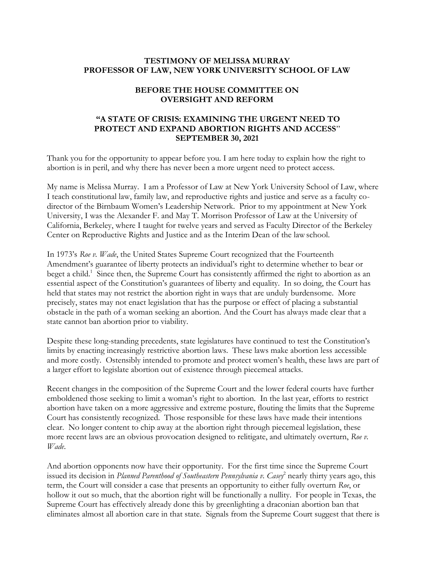### **TESTIMONY OF MELISSA MURRAY PROFESSOR OF LAW, NEW YORK UNIVERSITY SCHOOL OF LAW**

## **BEFORE THE HOUSE COMMITTEE ON OVERSIGHT AND REFORM**

# **"A STATE OF CRISIS: EXAMINING THE URGENT NEED TO PROTECT AND EXPAND ABORTION RIGHTS AND ACCESS**" **SEPTEMBER 30, 2021**

Thank you for the opportunity to appear before you. I am here today to explain how the right to abortion is in peril, and why there has never been a more urgent need to protect access.

My name is Melissa Murray. I am a Professor of Law at New York University School of Law, where I teach constitutional law, family law, and reproductive rights and justice and serve as a faculty codirector of the Birnbaum Women's Leadership Network. Prior to my appointment at New York University, I was the Alexander F. and May T. Morrison Professor of Law at the University of California, Berkeley, where I taught for twelve years and served as Faculty Director of the Berkeley Center on Reproductive Rights and Justice and as the Interim Dean of the lawschool.

In 1973's *Roe v. Wade*, the United States Supreme Court recognized that the Fourteenth Amendment's guarantee of liberty protects an individual's right to determine whether to bear or beget a child.<sup>1</sup> Since then, the Supreme Court has consistently affirmed the right to abortion as an essential aspect of the Constitution's guarantees of liberty and equality. In so doing, the Court has held that states may not restrict the abortion right in ways that are unduly burdensome. More precisely, states may not enact legislation that has the purpose or effect of placing a substantial obstacle in the path of a woman seeking an abortion. And the Court has always made clear that a state cannot ban abortion prior to viability.

Despite these long-standing precedents, state legislatures have continued to test the Constitution's limits by enacting increasingly restrictive abortion laws. These laws make abortion less accessible and more costly. Ostensibly intended to promote and protect women's health, these laws are part of a larger effort to legislate abortion out of existence through piecemeal attacks.

Recent changes in the composition of the Supreme Court and the lower federal courts have further emboldened those seeking to limit a woman's right to abortion. In the last year, efforts to restrict abortion have taken on a more aggressive and extreme posture, flouting the limits that the Supreme Court has consistently recognized. Those responsible for these laws have made their intentions clear. No longer content to chip away at the abortion right through piecemeal legislation, these more recent laws are an obvious provocation designed to relitigate, and ultimately overturn, *Roe v. Wade*.

And abortion opponents now have their opportunity. For the first time since the Supreme Court issued its decision in *Planned Parenthood of Southeastern Pennsylvania v. Casey*<sup>2</sup> nearly thirty years ago, this term, the Court will consider a case that presents an opportunity to either fully overturn *Roe*, or hollow it out so much, that the abortion right will be functionally a nullity. For people in Texas, the Supreme Court has effectively already done this by greenlighting a draconian abortion ban that eliminates almost all abortion care in that state. Signals from the Supreme Court suggest that there is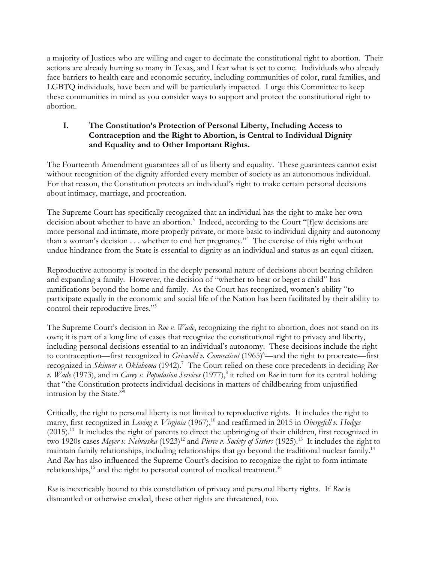a majority of Justices who are willing and eager to decimate the constitutional right to abortion. Their actions are already hurting so many in Texas, and I fear what is yet to come. Individuals who already face barriers to health care and economic security, including communities of color, rural families, and LGBTQ individuals, have been and will be particularly impacted. I urge this Committee to keep these communities in mind as you consider ways to support and protect the constitutional right to abortion.

## **I. The Constitution's Protection of Personal Liberty, Including Access to Contraception and the Right to Abortion, is Central to Individual Dignity and Equality and to Other Important Rights.**

The Fourteenth Amendment guarantees all of us liberty and equality. These guarantees cannot exist without recognition of the dignity afforded every member of society as an autonomous individual. For that reason, the Constitution protects an individual's right to make certain personal decisions about intimacy, marriage, and procreation.

The Supreme Court has specifically recognized that an individual has the right to make her own decision about whether to have an abortion.<sup>3</sup> Indeed, according to the Court "[f]ew decisions are more personal and intimate, more properly private, or more basic to individual dignity and autonomy than a woman's decision  $\dots$  whether to end her pregnancy."<sup>4</sup> The exercise of this right without undue hindrance from the State is essential to dignity as an individual and status as an equal citizen.

Reproductive autonomy is rooted in the deeply personal nature of decisions about bearing children and expanding a family. However, the decision of "whether to bear or beget a child" has ramifications beyond the home and family. As the Court has recognized, women's ability "to participate equally in the economic and social life of the Nation has been facilitated by their ability to control their reproductive lives."<sup>5</sup>

The Supreme Court's decision in *Roe v. Wade*, recognizing the right to abortion, does not stand on its own; it is part of a long line of cases that recognize the constitutional right to privacy and liberty, including personal decisions essential to an individual's autonomy. These decisions include the right to contraception—first recognized in *Griswold v. Connecticut* (1965)<sup>6</sup>—and the right to procreate—first recognized in *Skinner v. Oklahoma* (1942). <sup>7</sup> The Court relied on these core precedents in deciding *Roe v. Wade* (1973), and in *Carey v. Population Services* (1977), 8 it relied on *Roe* in turn for its central holding that "the Constitution protects individual decisions in matters of childbearing from unjustified intrusion by the State."<sup>9</sup>

Critically, the right to personal liberty is not limited to reproductive rights. It includes the right to marry, first recognized in *Loving v. Virginia* (1967), <sup>10</sup> and reaffirmed in 2015 in *Obergefell v. Hodges* (2015).<sup>11</sup> It includes the right of parents to direct the upbringing of their children, first recognized in two 1920s cases *Meyer v. Nebraska* (1923)<sup>12</sup> and *Pierce v. Society of Sisters* (1925).<sup>13</sup> It includes the right to maintain family relationships, including relationships that go beyond the traditional nuclear family.<sup>14</sup> And *Roe* has also influenced the Supreme Court's decision to recognize the right to form intimate relationships,<sup>15</sup> and the right to personal control of medical treatment.<sup>16</sup>

*Roe* is inextricably bound to this constellation of privacy and personal liberty rights. If *Roe* is dismantled or otherwise eroded, these other rights are threatened, too.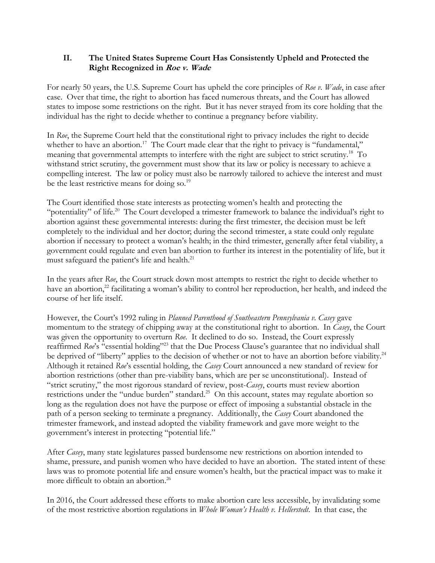# **II. The United States Supreme Court Has Consistently Upheld and Protected the Right Recognized in Roe v. Wade**

For nearly 50 years, the U.S. Supreme Court has upheld the core principles of *Roe v. Wade*, in case after case. Over that time, the right to abortion has faced numerous threats, and the Court has allowed states to impose some restrictions on the right. But it has never strayed from its core holding that the individual has the right to decide whether to continue a pregnancy before viability.

In *Roe*, the Supreme Court held that the constitutional right to privacy includes the right to decide whether to have an abortion.<sup>17</sup> The Court made clear that the right to privacy is "fundamental," meaning that governmental attempts to interfere with the right are subject to strict scrutiny.<sup>18</sup> To withstand strict scrutiny, the government must show that its law or policy is necessary to achieve a compelling interest. The law or policy must also be narrowly tailored to achieve the interest and must be the least restrictive means for doing so.<sup>19</sup>

The Court identified those state interests as protecting women's health and protecting the "potentiality" of life.<sup>20</sup> The Court developed a trimester framework to balance the individual's right to abortion against these governmental interests: during the first trimester, the decision must be left completely to the individual and her doctor; during the second trimester, a state could only regulate abortion if necessary to protect a woman's health; in the third trimester, generally after fetal viability, a government could regulate and even ban abortion to further its interest in the potentiality of life, but it must safeguard the patient's life and health.<sup>21</sup>

In the years after *Roe*, the Court struck down most attempts to restrict the right to decide whether to have an abortion,<sup>22</sup> facilitating a woman's ability to control her reproduction, her health, and indeed the course of her life itself.

However, the Court's 1992 ruling in *Planned Parenthood of Southeastern Pennsylvania v. Casey* gave momentum to the strategy of chipping away at the constitutional right to abortion. In *Casey*, the Court was given the opportunity to overturn *Roe*. It declined to do so. Instead, the Court expressly reaffirmed *Roe*'s "essential holding"<sup>23</sup> that the Due Process Clause's guarantee that no individual shall be deprived of "liberty" applies to the decision of whether or not to have an abortion before viability.<sup>24</sup> Although it retained *Roe*'s essential holding, the *Casey* Court announced a new standard of review for abortion restrictions (other than pre-viability bans, which are per se unconstitutional). Instead of "strict scrutiny," the most rigorous standard of review, post-*Casey*, courts must review abortion restrictions under the "undue burden" standard.<sup>25</sup> On this account, states may regulate abortion so long as the regulation does not have the purpose or effect of imposing a substantial obstacle in the path of a person seeking to terminate a pregnancy. Additionally, the *Casey* Court abandoned the trimester framework, and instead adopted the viability framework and gave more weight to the government's interest in protecting "potential life."

After *Casey*, many state legislatures passed burdensome new restrictions on abortion intended to shame, pressure, and punish women who have decided to have an abortion. The stated intent of these laws was to promote potential life and ensure women's health, but the practical impact was to make it more difficult to obtain an abortion. 26

In 2016, the Court addressed these efforts to make abortion care less accessible, by invalidating some of the most restrictive abortion regulations in *Whole Woman's Health v. Hellerstedt*. In that case, the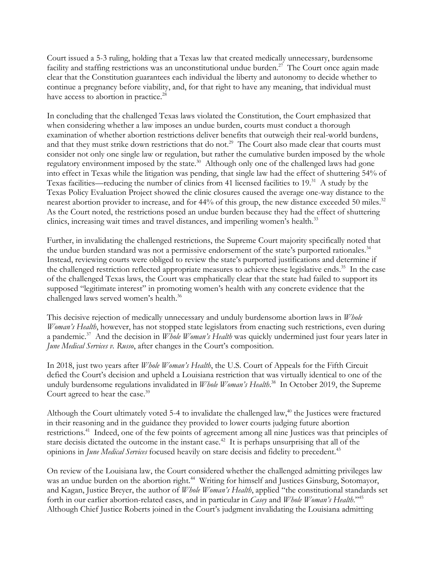Court issued a 5-3 ruling, holding that a Texas law that created medically unnecessary, burdensome facility and staffing restrictions was an unconstitutional undue burden.<sup>27</sup> The Court once again made clear that the Constitution guarantees each individual the liberty and autonomy to decide whether to continue a pregnancy before viability, and, for that right to have any meaning, that individual must have access to abortion in practice.<sup>28</sup>

In concluding that the challenged Texas laws violated the Constitution, the Court emphasized that when considering whether a law imposes an undue burden, courts must conduct a thorough examination of whether abortion restrictions deliver benefits that outweigh their real-world burdens, and that they must strike down restrictions that do not.<sup>29</sup> The Court also made clear that courts must consider not only one single law or regulation, but rather the cumulative burden imposed by the whole regulatory environment imposed by the state.<sup>30</sup> Although only one of the challenged laws had gone into effect in Texas while the litigation was pending, that single law had the effect of shuttering 54% of Texas facilities—reducing the number of clinics from 41 licensed facilities to 19.<sup>31</sup> A study by the Texas Policy Evaluation Project showed the clinic closures caused the average one-way distance to the nearest abortion provider to increase, and for 44% of this group, the new distance exceeded 50 miles.<sup>32</sup> As the Court noted, the restrictions posed an undue burden because they had the effect of shuttering clinics, increasing wait times and travel distances, and imperiling women's health.<sup>33</sup>

Further, in invalidating the challenged restrictions, the Supreme Court majority specifically noted that the undue burden standard was not a permissive endorsement of the state's purported rationales.<sup>34</sup> Instead, reviewing courts were obliged to review the state's purported justifications and determine if the challenged restriction reflected appropriate measures to achieve these legislative ends.<sup>35</sup> In the case of the challenged Texas laws, the Court was emphatically clear that the state had failed to support its supposed "legitimate interest" in promoting women's health with any concrete evidence that the challenged laws served women's health. 36

This decisive rejection of medically unnecessary and unduly burdensome abortion laws in *Whole Woman's Health*, however, has not stopped state legislators from enacting such restrictions, even during a pandemic. 37 And the decision in *Whole Woman's Health* was quickly undermined just four years later in *June Medical Services v. Russo*, after changes in the Court's composition*.*

In 2018, just two years after *Whole Woman's Health*, the U.S. Court of Appeals for the Fifth Circuit defied the Court's decision and upheld a Louisiana restriction that was virtually identical to one of the unduly burdensome regulations invalidated in *Whole Woman's Health*. <sup>38</sup> In October 2019, the Supreme Court agreed to hear the case.<sup>39</sup>

Although the Court ultimately voted 5-4 to invalidate the challenged law, $40$  the Justices were fractured in their reasoning and in the guidance they provided to lower courts judging future abortion restrictions.<sup>41</sup> Indeed, one of the few points of agreement among all nine Justices was that principles of stare decisis dictated the outcome in the instant case.<sup>42</sup> It is perhaps unsurprising that all of the opinions in *June Medical Services* focused heavily on stare decisis and fidelity to precedent.<sup>43</sup>

On review of the Louisiana law, the Court considered whether the challenged admitting privileges law was an undue burden on the abortion right.<sup>44</sup> Writing for himself and Justices Ginsburg, Sotomayor, and Kagan, Justice Breyer, the author of *Whole Woman's Health*, applied "the constitutional standards set forth in our earlier abortion-related cases, and in particular in *Casey* and *Whole Woman's Health*." 45 Although Chief Justice Roberts joined in the Court's judgment invalidating the Louisiana admitting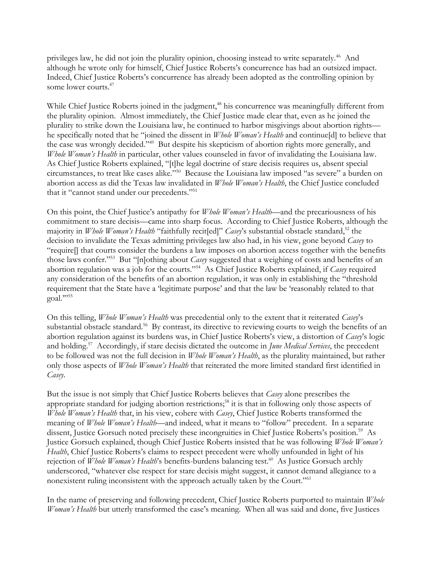privileges law, he did not join the plurality opinion, choosing instead to write separately.<sup>46</sup> And although he wrote only for himself, Chief Justice Roberts's concurrence has had an outsized impact. Indeed, Chief Justice Roberts's concurrence has already been adopted as the controlling opinion by some lower courts. 47

While Chief Justice Roberts joined in the judgment,<sup>48</sup> his concurrence was meaningfully different from the plurality opinion. Almost immediately, the Chief Justice made clear that, even as he joined the plurality to strike down the Louisiana law, he continued to harbor misgivings about abortion rights he specifically noted that he "joined the dissent in *Whole Woman's Health* and continue[d] to believe that the case was wrongly decided."<sup>49</sup> But despite his skepticism of abortion rights more generally, and *Whole Woman's Health* in particular, other values counseled in favor of invalidating the Louisiana law. As Chief Justice Roberts explained, "[t]he legal doctrine of stare decisis requires us, absent special circumstances, to treat like cases alike."<sup>50</sup> Because the Louisiana law imposed "as severe" a burden on abortion access as did the Texas law invalidated in *Whole Woman's Health*, the Chief Justice concluded that it "cannot stand under our precedents."<sup>51</sup>

On this point, the Chief Justice's antipathy for *Whole Woman's Health*—and the precariousness of his commitment to stare decisis—came into sharp focus. According to Chief Justice Roberts, although the majority in *Whole Woman's Health* "faithfully recit[ed]" *Casey's* substantial obstacle standard,<sup>52</sup> the decision to invalidate the Texas admitting privileges law also had, in his view, gone beyond *Casey* to "require[] that courts consider the burdens a law imposes on abortion access together with the benefits those laws confer."<sup>53</sup> But "[n]othing about *Casey* suggested that a weighing of costs and benefits of an abortion regulation was a job for the courts."<sup>54</sup> As Chief Justice Roberts explained, if *Casey* required any consideration of the benefits of an abortion regulation, it was only in establishing the "threshold requirement that the State have a 'legitimate purpose' and that the law be 'reasonably related to that goal.""55

On this telling, *Whole Woman's Health* was precedential only to the extent that it reiterated *Casey*'s substantial obstacle standard.<sup>56</sup> By contrast, its directive to reviewing courts to weigh the benefits of an abortion regulation against its burdens was, in Chief Justice Roberts's view, a distortion of *Casey*'s logic and holding.<sup>57</sup> Accordingly, if stare decisis dictated the outcome in *June Medical Services*, the precedent to be followed was not the full decision in *Whole Woman's Health*, as the plurality maintained, but rather only those aspects of *Whole Woman's Health* that reiterated the more limited standard first identified in *Casey*.

But the issue is not simply that Chief Justice Roberts believes that *Casey* alone prescribes the appropriate standard for judging abortion restrictions;<sup>58</sup> it is that in following only those aspects of *Whole Woman's Health* that, in his view, cohere with *Casey*, Chief Justice Roberts transformed the meaning of *Whole Woman's Health*—and indeed, what it means to "follow" precedent. In a separate dissent, Justice Gorsuch noted precisely these incongruities in Chief Justice Roberts's position.<sup>59</sup> As Justice Gorsuch explained, though Chief Justice Roberts insisted that he was following *Whole Woman's Health*, Chief Justice Roberts's claims to respect precedent were wholly unfounded in light of his rejection of *Whole Woman's Health's* benefits-burdens balancing test.<sup>60</sup> As Justice Gorsuch archly underscored, "whatever else respect for stare decisis might suggest, it cannot demand allegiance to a nonexistent ruling inconsistent with the approach actually taken by the Court."<sup>61</sup>

In the name of preserving and following precedent, Chief Justice Roberts purported to maintain *Whole Woman's Health* but utterly transformed the case's meaning. When all was said and done, five Justices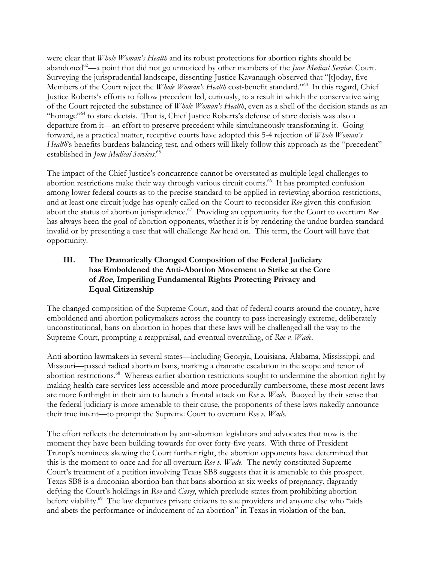were clear that *Whole Woman's Health* and its robust protections for abortion rights should be abandoned<sup>62</sup>—a point that did not go unnoticed by other members of the *June Medical Services* Court. Surveying the jurisprudential landscape, dissenting Justice Kavanaugh observed that "[t]oday, five Members of the Court reject the *Whole Woman's Health* cost-benefit standard."<sup>63</sup> In this regard, Chief Justice Roberts's efforts to follow precedent led, curiously, to a result in which the conservative wing of the Court rejected the substance of *Whole Woman's Health*, even as a shell of the decision stands as an "homage"<sup>64</sup> to stare decisis. That is, Chief Justice Roberts's defense of stare decisis was also a departure from it—an effort to preserve precedent while simultaneously transforming it. Going forward, as a practical matter, receptive courts have adopted this 5-4 rejection of *Whole Woman's Health*'s benefits-burdens balancing test, and others will likely follow this approach as the "precedent" established in *June Medical Services*. 65

The impact of the Chief Justice's concurrence cannot be overstated as multiple legal challenges to abortion restrictions make their way through various circuit courts.<sup>66</sup> It has prompted confusion among lower federal courts as to the precise standard to be applied in reviewing abortion restrictions, and at least one circuit judge has openly called on the Court to reconsider *Roe* given this confusion about the status of abortion jurisprudence. <sup>67</sup> Providing an opportunity for the Court to overturn *Roe*  has always been the goal of abortion opponents, whether it is by rendering the undue burden standard invalid or by presenting a case that will challenge *Roe* head on. This term, the Court will have that opportunity.

# **III. The Dramatically Changed Composition of the Federal Judiciary has Emboldened the Anti-Abortion Movement to Strike at the Core of Roe, Imperiling Fundamental Rights Protecting Privacy and Equal Citizenship**

The changed composition of the Supreme Court, and that of federal courts around the country, have emboldened anti-abortion policymakers across the country to pass increasingly extreme, deliberately unconstitutional, bans on abortion in hopes that these laws will be challenged all the way to the Supreme Court, prompting a reappraisal, and eventual overruling, of *Roe v. Wade*.

Anti-abortion lawmakers in several states—including Georgia, Louisiana, Alabama, Mississippi, and Missouri—passed radical abortion bans, marking a dramatic escalation in the scope and tenor of abortion restrictions.<sup>68</sup> Whereas earlier abortion restrictions sought to undermine the abortion right by making health care services less accessible and more procedurally cumbersome, these most recent laws are more forthright in their aim to launch a frontal attack on *Roe v. Wade*. Buoyed by their sense that the federal judiciary is more amenable to their cause, the proponents of these laws nakedly announce their true intent—to prompt the Supreme Court to overturn *Roe v. Wade*.

The effort reflects the determination by anti-abortion legislators and advocates that now is the moment they have been building towards for over forty-five years. With three of President Trump's nominees skewing the Court further right, the abortion opponents have determined that this is the moment to once and for all overturn *Roe v. Wade*. The newly constituted Supreme Court's treatment of a petition involving Texas SB8 suggests that it is amenable to this prospect. Texas SB8 is a draconian abortion ban that bans abortion at six weeks of pregnancy, flagrantly defying the Court's holdings in *Roe* and *Casey*, which preclude states from prohibiting abortion before viability. <sup>69</sup> The law deputizes private citizens to sue providers and anyone else who "aids and abets the performance or inducement of an abortion" in Texas in violation of the ban,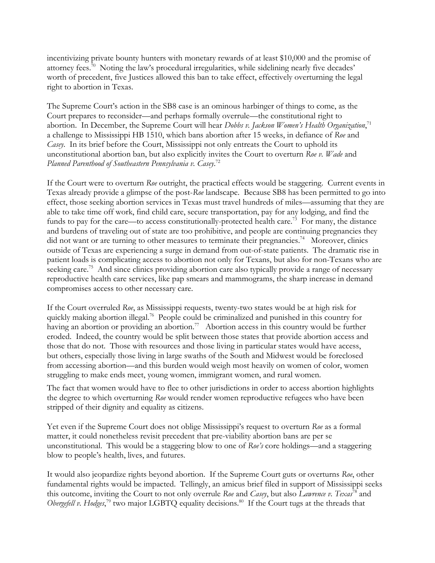incentivizing private bounty hunters with monetary rewards of at least \$10,000 and the promise of attorney fees.<sup>70</sup> Noting the law's procedural irregularities, while sidelining nearly five decades' worth of precedent, five Justices allowed this ban to take effect, effectively overturning the legal right to abortion in Texas.

The Supreme Court's action in the SB8 case is an ominous harbinger of things to come, as the Court prepares to reconsider—and perhaps formally overrule—the constitutional right to abortion. In December, the Supreme Court will hear *Dobbs v. Jackson Women's Health Organization*, 71 a challenge to Mississippi HB 1510, which bans abortion after 15 weeks, in defiance of *Roe* and *Casey*. In its brief before the Court, Mississippi not only entreats the Court to uphold its unconstitutional abortion ban, but also explicitly invites the Court to overturn *Roe v. Wade* and *Planned Parenthood of Southeastern Pennsylvania v. Casey*. 72

If the Court were to overturn *Roe* outright, the practical effects would be staggering. Current events in Texas already provide a glimpse of the post-*Roe* landscape. Because SB8 has been permitted to go into effect, those seeking abortion services in Texas must travel hundreds of miles—assuming that they are able to take time off work, find child care, secure transportation, pay for any lodging, and find the funds to pay for the care—to access constitutionally-protected health care.<sup>73</sup> For many, the distance and burdens of traveling out of state are too prohibitive, and people are continuing pregnancies they did not want or are turning to other measures to terminate their pregnancies.<sup>74</sup> Moreover, clinics outside of Texas are experiencing a surge in demand from out-of-state patients. The dramatic rise in patient loads is complicating access to abortion not only for Texans, but also for non-Texans who are seeking care.<sup>75</sup> And since clinics providing abortion care also typically provide a range of necessary reproductive health care services, like pap smears and mammograms, the sharp increase in demand compromises access to other necessary care.

If the Court overruled *Roe*, as Mississippi requests, twenty-two states would be at high risk for quickly making abortion illegal.<sup>76</sup> People could be criminalized and punished in this country for having an abortion or providing an abortion.<sup>77</sup> Abortion access in this country would be further eroded. Indeed, the country would be split between those states that provide abortion access and those that do not. Those with resources and those living in particular states would have access, but others, especially those living in large swaths of the South and Midwest would be foreclosed from accessing abortion—and this burden would weigh most heavily on women of color, women struggling to make ends meet, young women, immigrant women, and rural women.

The fact that women would have to flee to other jurisdictions in order to access abortion highlights the degree to which overturning *Roe* would render women reproductive refugees who have been stripped of their dignity and equality as citizens.

Yet even if the Supreme Court does not oblige Mississippi's request to overturn *Roe* as a formal matter, it could nonetheless revisit precedent that pre-viability abortion bans are per se unconstitutional. This would be a staggering blow to one of *Roe's* core holdings—and a staggering blow to people's health, lives, and futures.

It would also jeopardize rights beyond abortion. If the Supreme Court guts or overturns *Roe*, other fundamental rights would be impacted. Tellingly, an amicus brief filed in support of Mississippi seeks this outcome, inviting the Court to not only overrule *Roe* and *Casey*, but also *Lawrence v. Texas*<sup>78</sup> and Obergefell v. Hodges,<sup>79</sup> two major LGBTQ equality decisions.<sup>80</sup> If the Court tugs at the threads that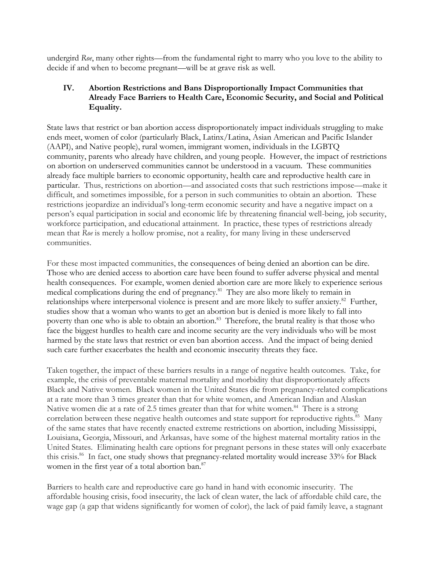undergird *Roe*, many other rights—from the fundamental right to marry who you love to the ability to decide if and when to become pregnant—will be at grave risk as well.

# **IV. Abortion Restrictions and Bans Disproportionally Impact Communities that Already Face Barriers to Health Care, Economic Security, and Social and Political Equality.**

State laws that restrict or ban abortion access disproportionately impact individuals struggling to make ends meet, women of color (particularly Black, Latinx/Latina, Asian American and Pacific Islander (AAPI), and Native people), rural women, immigrant women, individuals in the LGBTQ community, parents who already have children, and young people. However, the impact of restrictions on abortion on underserved communities cannot be understood in a vacuum. These communities already face multiple barriers to economic opportunity, health care and reproductive health care in particular. Thus, restrictions on abortion—and associated costs that such restrictions impose—make it difficult, and sometimes impossible, for a person in such communities to obtain an abortion. These restrictions jeopardize an individual's long-term economic security and have a negative impact on a person's equal participation in social and economic life by threatening financial well-being, job security, workforce participation, and educational attainment. In practice, these types of restrictions already mean that *Roe* is merely a hollow promise, not a reality, for many living in these underserved communities.

For these most impacted communities, the consequences of being denied an abortion can be dire. Those who are denied access to abortion care have been found to suffer adverse physical and mental health consequences. For example, women denied abortion care are more likely to experience serious medical complications during the end of pregnancy.<sup>81</sup> They are also more likely to remain in relationships where interpersonal violence is present and are more likely to suffer anxiety.<sup>82</sup> Further, studies show that a woman who wants to get an abortion but is denied is more likely to fall into poverty than one who is able to obtain an abortion.<sup>83</sup> Therefore, the brutal reality is that those who face the biggest hurdles to health care and income security are the very individuals who will be most harmed by the state laws that restrict or even ban abortion access. And the impact of being denied such care further exacerbates the health and economic insecurity threats they face.

Taken together, the impact of these barriers results in a range of negative health outcomes. Take, for example, the crisis of preventable maternal mortality and morbidity that disproportionately affects Black and Native women. Black women in the United States die from pregnancy-related complications at a rate more than 3 times greater than that for white women, and American Indian and Alaskan Native women die at a rate of 2.5 times greater than that for white women.<sup>84</sup> There is a strong correlation between these negative health outcomes and state support for reproductive rights.<sup>85</sup> Many of the same states that have recently enacted extreme restrictions on abortion, including Mississippi, Louisiana, Georgia, Missouri, and Arkansas, have some of the highest maternal mortality ratios in the United States. Eliminating health care options for pregnant persons in these states will only exacerbate this crisis.<sup>86</sup> In fact, one study shows that pregnancy-related mortality would increase 33% for Black women in the first year of a total abortion ban.<sup>87</sup>

Barriers to health care and reproductive care go hand in hand with economic insecurity. The affordable housing crisis, food insecurity, the lack of clean water, the lack of affordable child care, the wage gap (a gap that widens significantly for women of color), the lack of paid family leave, a stagnant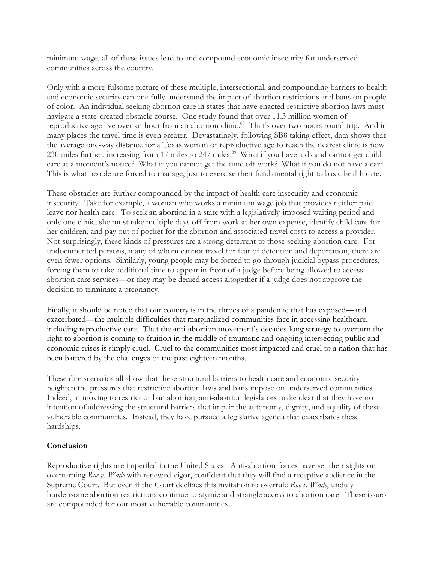minimum wage, all of these issues lead to and compound economic insecurity for underserved communities across the country.

Only with a more fulsome picture of these multiple, intersectional, and compounding barriers to health and economic security can one fully understand the impact of abortion restrictions and bans on people of color. An individual seeking abortion care in states that have enacted restrictive abortion laws must navigate a state-created obstacle course. One study found that over 11.3 million women of reproductive age live over an hour from an abortion clinic.<sup>88</sup> That's over two hours round trip. And in many places the travel time is even greater. Devastatingly, following SB8 taking effect, data shows that the average one-way distance for a Texas woman of reproductive age to reach the nearest clinic is now 230 miles farther, increasing from 17 miles to 247 miles.<sup>89</sup> What if you have kids and cannot get child care at a moment's notice? What if you cannot get the time off work? What if you do not have a car? This is what people are forced to manage, just to exercise their fundamental right to basic health care.

These obstacles are further compounded by the impact of health care insecurity and economic insecurity. Take for example, a woman who works a minimum wage job that provides neither paid leave nor health care. To seek an abortion in a state with a legislatively-imposed waiting period and only one clinic, she must take multiple days off from work at her own expense, identify child care for her children, and pay out of pocket for the abortion and associated travel costs to access a provider. Not surprisingly, these kinds of pressures are a strong deterrent to those seeking abortion care. For undocumented persons, many of whom cannot travel for fear of detention and deportation, there are even fewer options. Similarly, young people may be forced to go through judicial bypass procedures, forcing them to take additional time to appear in front of a judge before being allowed to access abortion care services—or they may be denied access altogether if a judge does not approve the decision to terminate a pregnancy.

Finally, it should be noted that our country is in the throes of a pandemic that has exposed—and exacerbated—the multiple difficulties that marginalized communities face in accessing healthcare, including reproductive care. That the anti-abortion movement's decades-long strategy to overturn the right to abortion is coming to fruition in the middle of traumatic and ongoing intersecting public and economic crises is simply cruel. Cruel to the communities most impacted and cruel to a nation that has been battered by the challenges of the past eighteen months.

These dire scenarios all show that these structural barriers to health care and economic security heighten the pressures that restrictive abortion laws and bans impose on underserved communities. Indeed, in moving to restrict or ban abortion, anti-abortion legislators make clear that they have no intention of addressing the structural barriers that impair the autonomy, dignity, and equality of these vulnerable communities. Instead, they have pursued a legislative agenda that exacerbates these hardships.

### **Conclusion**

Reproductive rights are imperiled in the United States. Anti-abortion forces have set their sights on overturning *Roe v. Wade* with renewed vigor, confident that they will find a receptive audience in the Supreme Court. But even if the Court declines this invitation to overrule *Roe v. Wade*, unduly burdensome abortion restrictions continue to stymie and strangle access to abortion care. These issues are compounded for our most vulnerable communities.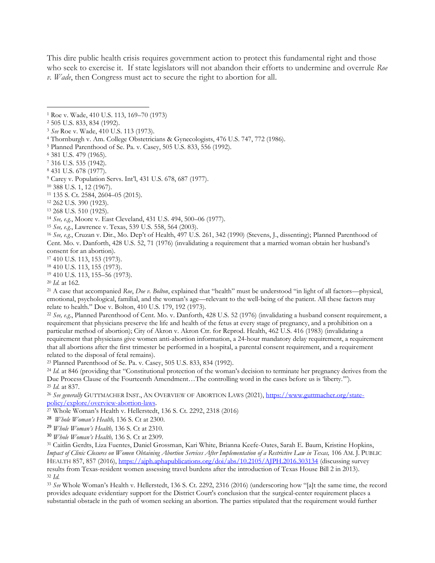This dire public health crisis requires government action to protect this fundamental right and those who seek to exercise it. If state legislators will not abandon their efforts to undermine and overrule *Roe v. Wade*, then Congress must act to secure the right to abortion for all.

<sup>16</sup> *See, e.g.*, Cruzan v. Dir., Mo. Dep't of Health, 497 U.S. 261, 342 (1990) (Stevens, J., dissenting); Planned Parenthood of Cent. Mo. v. Danforth, 428 U.S. 52, 71 (1976) (invalidating a requirement that a married woman obtain her husband's consent for an abortion).

<sup>17</sup> 410 U.S. 113, 153 (1973).

<sup>19</sup> 410 U.S. 113, 155–56 (1973).

<sup>20</sup> *Id.* at 162.

<sup>21</sup> A case that accompanied *Roe*, *Doe v. Bolton*, explained that "health" must be understood "in light of all factors—physical, emotional, psychological, familial, and the woman's age—relevant to the well-being of the patient. All these factors may relate to health." Doe v. Bolton, 410 U.S. 179, 192 (1973).

<sup>22</sup> *See, e.g*., Planned Parenthood of Cent. Mo. v. Danforth, 428 U.S. 52 (1976) (invalidating a husband consent requirement, a requirement that physicians preserve the life and health of the fetus at every stage of pregnancy, and a prohibition on a particular method of abortion); City of Akron v. Akron Ctr. for Reprod. Health, 462 U.S. 416 (1983) (invalidating a requirement that physicians give women anti-abortion information, a 24-hour mandatory delay requirement, a requirement that all abortions after the first trimester be performed in a hospital, a parental consent requirement, and a requirement related to the disposal of fetal remains).

<sup>23</sup> Planned Parenthood of Se. Pa. v. Casey, 505 U.S. 833, 834 (1992).

<sup>24</sup> *Id.* at 846 (providing that "Constitutional protection of the woman's decision to terminate her pregnancy derives from the Due Process Clause of the Fourteenth Amendment…The controlling word in the cases before us is 'liberty.'"). <sup>25</sup> *Id.* at 837.

<sup>26</sup> See generally GUTTMACHER INST., AN OVERVIEW OF ABORTION LAWS (2021), [https://www.guttmacher.org/state](https://www.guttmacher.org/state-policy/explore/overview-abortion-laws)[policy/explore/overview-abortion-laws.](https://www.guttmacher.org/state-policy/explore/overview-abortion-laws)

<sup>27</sup> Whole Woman's Health v. Hellerstedt, 136 S. Ct. 2292, 2318 (2016)

28 *Whole Woman's Health,* 136 S. Ct at 2300.

<sup>29</sup> *Whole Woman's Health,* 136 S. Ct at 2310.

<sup>30</sup> *Whole Woman's Health,* 136 S. Ct at 2309.

<sup>31</sup> Caitlin Gerdts, Liza Fuentes, Daniel Grossman, Kari White, Brianna Keefe-Oates, Sarah E. Baum, Kristine Hopkins, *Impact of Clinic Closures on Women Obtaining Abortion Services After Implementation of a Restrictive Law in Texas, 106 AM.* J. PUBLIC HEALTH 857, 857 (2016),<https://ajph.aphapublications.org/doi/abs/10.2105/AJPH.2016.303134> (discussing survey results from Texas-resident women assessing travel burdens after the introduction of Texas House Bill 2 in 2013). <sup>32</sup> *Id.*

<sup>33</sup> *See* Whole Woman's Health v. Hellerstedt, 136 S. Ct. 2292, 2316 (2016) (underscoring how "[a]t the same time, the record provides adequate evidentiary support for the District Court's conclusion that the surgical-center requirement places a substantial obstacle in the path of women seeking an abortion. The parties stipulated that the requirement would further

<sup>1</sup> Roe v. Wade, 410 U.S. 113, 169–70 (1973)

<sup>2</sup> 505 U.S. 833, 834 (1992).

<sup>3</sup> *See* Roe v. Wade, 410 U.S. 113 (1973).

<sup>4</sup> Thornburgh v. Am. College Obstetricians & Gynecologists, 476 U.S. 747, 772 (1986).

<sup>5</sup> Planned Parenthood of Se. Pa. v. Casey, 505 U.S. 833, 556 (1992).

<sup>6</sup> 381 U.S. 479 (1965).

<sup>7</sup> 316 U.S. 535 (1942).

<sup>8</sup> 431 U.S. 678 (1977).

<sup>9</sup> Carey v. Population Servs. Int'l, 431 U.S. 678, 687 (1977).

<sup>10</sup> 388 U.S. 1, 12 (1967).

<sup>11</sup> 135 S. Ct. 2584, 2604–05 (2015).

<sup>12</sup> 262 U.S. 390 (1923).

<sup>13</sup> 268 U.S. 510 (1925).

<sup>14</sup> *See, e.g.*, Moore v. East Cleveland, 431 U.S. 494, 500–06 (1977).

<sup>15</sup> *See, e.g*., Lawrence v. Texas, 539 U.S. 558, 564 (2003).

<sup>18</sup> 410 U.S. 113, 155 (1973).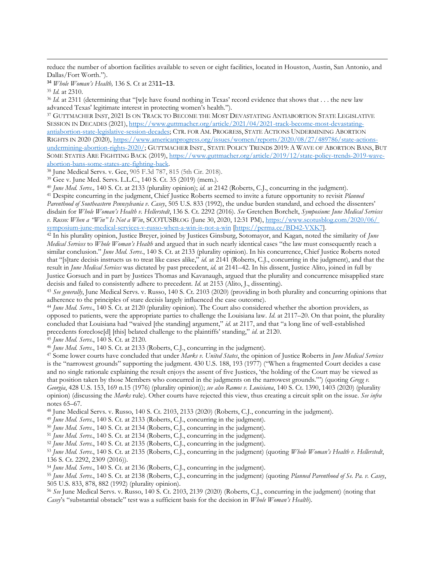reduce the number of abortion facilities available to seven or eight facilities, located in Houston, Austin, San Antonio, and Dallas/Fort Worth.").

<sup>34</sup> *Whole Woman's Health,* 136 S. Ct at 2311–13.

<sup>35</sup> *Id.* at 2310.

<sup>36</sup> *Id.* at 2311 (determining that "[w]e have found nothing in Texas' record evidence that shows that . . . the new law advanced Texas' legitimate interest in protecting women's health.").

<sup>37</sup> GUTTMACHER INST, 2021 IS ON TRACK TO BECOME THE MOST DEVASTATING ANTIABORTION STATE LEGISLATIVE SESSION IN DECADES (2021), [https://www.guttmacher.org/article/2021/04/2021-track-become-most-devastating](https://www.guttmacher.org/article/2021/04/2021-track-become-most-devastating-antiabortion-state-legislative-session-decades)[antiabortion-state-legislative-session-decades;](https://www.guttmacher.org/article/2021/04/2021-track-become-most-devastating-antiabortion-state-legislative-session-decades) CTR. FOR AM. PROGRESS, STATE ACTIONS UNDERMINING ABORTION RIGHTS IN 2020 (2020), [https://www.americanprogress.org/issues/women/reports/2020/08/27/489786/state-actions](https://www.americanprogress.org/issues/women/reports/2020/08/27/489786/state-actions-undermining-abortion-rights-2020/)[undermining-abortion-rights-2020/;](https://www.americanprogress.org/issues/women/reports/2020/08/27/489786/state-actions-undermining-abortion-rights-2020/) GUTTMACHER INST., STATE POLICY TRENDS 2019: A WAVE OF ABORTION BANS, BUT SOME STATES ARE FIGHTING BACK (2019), [https://www.guttmacher.org/article/2019/12/state-policy-trends-2019-wave](https://www.guttmacher.org/article/2019/12/state-policy-trends-2019-wave-abortion-bans-some-states-are-fighting-back)[abortion-bans-some-states-are-fighting-back.](https://www.guttmacher.org/article/2019/12/state-policy-trends-2019-wave-abortion-bans-some-states-are-fighting-back)

<sup>38</sup> June Medical Servs. v. Gee, 905 F.3d 787, 815 (5th Cir. 2018).

<sup>39</sup> Gee v. June Med. Servs. L.L.C., 140 S. Ct. 35 (2019) (mem.).

<sup>40</sup> *June Med. Servs.,* 140 S. Ct. at 2133 (plurality opinion); *id*. at 2142 (Roberts, C.J., concurring in the judgment).

<sup>41</sup> Despite concurring in the judgment, Chief Justice Roberts seemed to invite a future opportunity to revisit *Planned Parenthood of Southeastern Pennsylvania v. Casey*, 505 U.S. 833 (1992), the undue burden standard, and echoed the dissenters' disdain for *Whole Woman's Health v. Hellerstedt*, 136 S. Ct. 2292 (2016). *See* Gretchen Borchelt, *Symposium: June Medical Services v. Russo: When a "Win" Is Not a Win*, SCOTUSBLOG (June 30, 2020, 12:31 PM), [https://www.scotusblog.com/2020/06/](https://www.scotusblog.com/2020/06/%20symposium-june-medical-services-v-russo-when-a-win-is-not-a-win)  [symposium-june-medical-services-v-russo-when-a-win-is-not-a-win](https://www.scotusblog.com/2020/06/%20symposium-june-medical-services-v-russo-when-a-win-is-not-a-win) [\[https://perma.cc/BD42-VXK7\]](https://perma.cc/BD42-VXK7).

<sup>42</sup> In his plurality opinion, Justice Breyer, joined by Justices Ginsburg, Sotomayor, and Kagan, noted the similarity of *June Medical Services* to *Whole Woman's Health* and argued that in such nearly identical cases "the law must consequently reach a similar conclusion." *June Med. Servs.*, 140 S. Ct. at 2133 (plurality opinion). In his concurrence, Chief Justice Roberts noted that "[s]tare decisis instructs us to treat like cases alike," *id*. at 2141 (Roberts, C.J., concurring in the judgment), and that the result in *June Medical Services* was dictated by past precedent, *id*. at 2141–42. In his dissent, Justice Alito, joined in full by Justice Gorsuch and in part by Justices Thomas and Kavanaugh, argued that the plurality and concurrence misapplied stare decisis and failed to consistently adhere to precedent. *Id*. at 2153 (Alito, J., dissenting).

<sup>43</sup> *See generally*, June Medical Servs. v. Russo, 140 S. Ct. 2103 (2020) (providing in both plurality and concurring opinions that adherence to the principles of stare decisis largely influenced the case outcome).

<sup>44</sup> *June Med. Servs.*, 140 S. Ct. at 2120 (plurality opinion). The Court also considered whether the abortion providers, as opposed to patients, were the appropriate parties to challenge the Louisiana law. *Id*. at 2117–20. On that point, the plurality concluded that Louisiana had "waived [the standing] argument," *id*. at 2117, and that "a long line of well-established precedents foreclose[d] [this] belated challenge to the plaintiffs' standing," *id*. at 2120.

<sup>45</sup> *June Med. Servs.*, 140 S. Ct. at 2120.

<sup>46</sup> *June Med. Servs.*, 140 S. Ct. at 2133 (Roberts, C.J., concurring in the judgment).

<sup>47</sup> Some lower courts have concluded that under *Marks v. United States*, the opinion of Justice Roberts in *June Medical Services*  is the "narrowest grounds" supporting the judgment. 430 U.S. 188, 193 (1977) ("When a fragmented Court decides a case and no single rationale explaining the result enjoys the assent of five Justices, 'the holding of the Court may be viewed as that position taken by those Members who concurred in the judgments on the narrowest grounds.'") (quoting *Gregg v. Georgia*, 428 U.S. 153, 169 n.15 (1976) (plurality opinion)); *see also Ramos v. Louisiana*, 140 S. Ct. 1390, 1403 (2020) (plurality opinion) (discussing the *Marks* rule). Other courts have rejected this view, thus creating a circuit split on the issue. *See infra* notes 65–67.

<sup>48</sup> June Medical Servs. v. Russo, 140 S. Ct. 2103, 2133 (2020) (Roberts, C.J., concurring in the judgment).

<sup>49</sup> *June Med. Servs.*, 140 S. Ct. at 2133 (Roberts, C.J., concurring in the judgment).

<sup>50</sup> *June Med. Servs.*, 140 S. Ct. at 2134 (Roberts, C.J., concurring in the judgment).

<sup>51</sup> *June Med. Servs.*, 140 S. Ct. at 2134 (Roberts, C.J., concurring in the judgment).

<sup>52</sup> *June Med. Servs.*, 140 S. Ct. at 2135 (Roberts, C.J., concurring in the judgment).

<sup>53</sup> *June Med. Servs.*, 140 S. Ct. at 2135 (Roberts, C.J., concurring in the judgment) (quoting *Whole Woman's Health v. Hellerstedt*, 136 S. Ct. 2292, 2309 (2016)).

<sup>54</sup> *June Med. Servs.*, 140 S. Ct. at 2136 (Roberts, C.J., concurring in the judgment).

<sup>55</sup> *June Med. Servs.*, 140 S. Ct. at 2138 (Roberts, C.J., concurring in the judgment) (quoting *Planned Parenthood of Se. Pa. v. Casey*, 505 U.S. 833, 878, 882 (1992) (plurality opinion).

<sup>56</sup> *See* June Medical Servs. v. Russo, 140 S. Ct. 2103, 2139 (2020) (Roberts, C.J., concurring in the judgment) (noting that *Casey*'s "substantial obstacle" test was a sufficient basis for the decision in *Whole Woman's Health*).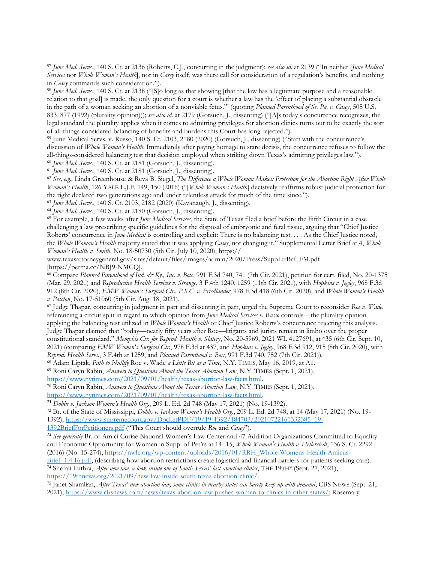<sup>57</sup> *June Med. Servs.*, 140 S. Ct. at 2136 (Roberts, C.J., concurring in the judgment); *see also id*. at 2139 ("In neither [*June Medical Services* nor *Whole Woman's Health*], nor in *Casey* itself, was there call for consideration of a regulation's benefits, and nothing in *Casey* commands such consideration.").

<sup>58</sup> *June Med. Servs.*, 140 S. Ct. at 2138 ("[S]o long as that showing [that the law has a legitimate purpose and a reasonable relation to that goal] is made, the only question for a court is whether a law has the 'effect of placing a substantial obstacle in the path of a woman seeking an abortion of a nonviable fetus.'" (quoting *Planned Parenthood of Se. Pa. v. Casey*, 505 U.S. 833, 877 (1992) (plurality opinion))); *see also id*. at 2179 (Gorsuch, J., dissenting) ("[A]s today's concurrence recognizes, the legal standard the plurality applies when it comes to admitting privileges for abortion clinics turns out to be exactly the sort of all-things-considered balancing of benefits and burdens this Court has long rejected.").

<sup>59</sup> June Medical Servs. v. Russo, 140 S. Ct. 2103, 2180 (2020) (Gorsuch, J., dissenting) ("Start with the concurrence's discussion of *Whole Woman's Health*. Immediately after paying homage to stare decisis, the concurrence refuses to follow the all-things-considered balancing test that decision employed when striking down Texas's admitting privileges law.").

<sup>60</sup> *June Med. Servs.*, 140 S. Ct. at 2181 (Gorsuch, J., dissenting).

<sup>61</sup> *June Med. Servs.*, 140 S. Ct. at 2181 (Gorsuch, J., dissenting).

<sup>62</sup> *See, e.g.,* Linda Greenhouse & Reva B. Siegel, *The Difference a Whole Woman Makes: Protection for the Abortion Right After Whole Woman's Health*, 126 YALE L.J.F. 149, 150 (2016) ("[*Whole Woman's Health*] decisively reaffirms robust judicial protection for the right declared two generations ago and under relentless attack for much of the time since.").

<sup>63</sup> *June Med. Servs.*, 140 S. Ct. 2103, 2182 (2020) (Kavanaugh, J., dissenting).

<sup>64</sup> *June Med. Servs.*, 140 S. Ct. at 2180 (Gorsuch, J., dissenting).

<sup>65</sup> For example, a few weeks after *June Medical Services*, the State of Texas filed a brief before the Fifth Circuit in a case challenging a law prescribing specific guidelines for the disposal of embryonic and fetal tissue, arguing that "Chief Justice Roberts' concurrence in *June Medical* is controlling and explicit: There is no balancing test. . . . As the Chief Justice noted, the *Whole Woman's Health* majority stated that it was applying *Casey*, not changing it." Supplemental Letter Brief at 4, *Whole Woman's Health v. Smith*, No. 18-50730 (5th Cir. July 10, 2020), https://

www.texasattorneygeneral.gov/sites/default/files/images/admin/2020/Press/SuppLtrBrf\_FM.pdf [https://perma.cc/NBJ9-NMCQ].

<sup>66</sup> Compare *Planned Parenthood of Ind. & Ky., Inc. v. Box*, 991 F.3d 740, 741 (7th Cir. 2021), petition for cert. filed, No. 20-1375 (Mar. 29, 2021) and *Reproductive Health Services v. Strange*, 3 F.4th 1240, 1259 (11th Cir. 2021), with *Hopkins v. Jegley*, 968 F.3d 912 (8th Cir. 2020), *EMW Women's Surgical Ctr., P.S.C. v. Friedlander*, 978 F.3d 418 (6th Cir. 2020), and *Whole Women's Health v. Paxton*, No. 17-51060 (5th Cir. Aug. 18, 2021).

<sup>67</sup> Judge Thapar, concurring in judgment in part and dissenting in part, urged the Supreme Court to reconsider *Roe v. Wade*, referencing a circuit split in regard to which opinion from *June Medical Services v. Russo* controls—the plurality opinion applying the balancing test utilized in *Whole Woman's Health* or Chief Justice Roberts's concurrence rejecting this analysis. Judge Thapar claimed that "today—nearly fifty years after Roe—litigants and jurists remain in limbo over the proper constitutional standard." *Memphis Ctr. for Reprod. Health v. Slatery*, No. 20-5969, 2021 WL 4127691, at \*35 (6th Cir. Sept. 10, 2021) (comparing *EMW Women's Surgical Ctr.*, 978 F.3d at 437, and *Hopkins v. Jegley*, 968 F.3d 912, 915 (8th Cir. 2020), with *Reprod. Health Servs*., 3 F.4th at 1259, and *Planned Parenthood v. Box*, 991 F.3d 740, 752 (7th Cir. 2021)).

<sup>68</sup> Adam Liptak, *Path to Nullify* Roe v. Wade *a Little Bit at a Time,* N.Y. TIMES, May 16, 2019, at A1.

<sup>69</sup> Roni Caryn Rabin, *Answers to Questions About the Texas Abortion Law*, N.Y. TIMES (Sept. 1, 2021),

[https://www.nytimes.com/2021/09/01/health/texas-abortion-law-facts.html.](https://www.nytimes.com/2021/09/01/health/texas-abortion-law-facts.html) 

<sup>70</sup> Roni Caryn Rabin, *Answers to Questions About the Texas Abortion Law*, N.Y. TIMES (Sept. 1, 2021), [https://www.nytimes.com/2021/09/01/health/texas-abortion-law-facts.html.](https://www.nytimes.com/2021/09/01/health/texas-abortion-law-facts.html)

<sup>71</sup> *Dobbs v. Jackson Women's Health Org*., 209 L. Ed. 2d 748 (May 17, 2021) (No. 19-1392).

<sup>72</sup> Br. of the State of Mississippi, *Dobbs v. Jackson Women's Health Org*., 209 L. Ed. 2d 748, at 14 (May 17, 2021) (No. 19- 1392), [https://www.supremecourt.gov/DocketPDF/19/19-1392/184703/20210722161332385\\_19-](https://www.supremecourt.gov/DocketPDF/19/19-1392/184703/20210722161332385_19-1392BriefForPetitioners.pdf)

[1392BriefForPetitioners.pdf](https://www.supremecourt.gov/DocketPDF/19/19-1392/184703/20210722161332385_19-1392BriefForPetitioners.pdf) ("This Court should overrule *Roe* and *Casey*").

<sup>73</sup> *See generally* Br. of Amici Curiae National Women's Law Center and 47 Addition Organizations Committed to Equality and Economic Opportunity for Women in Supp. of Pet'rs at 14–15, *Whole Woman's Health v. Hellerstedt*, 136 S. Ct. 2292 (2016) (No. 15-274)[, https://nwlc.org/wp-content/uploads/2016/01/RRH\\_Whole-Womens-Health-Amicus-](https://nwlc.org/wp-content/uploads/2016/01/RRH_Whole-Womens-Health-Amicus-Brief_1.4.16.pdf)

Brief 1.4.16.pdf, (describing how abortion restrictions create logistical and financial barriers for patients seeking care). <sup>74</sup> Shefali Luthra, *After new law, a look inside one of South Texas' last abortion clinics*, THE 19TH\* (Sept. 27, 2021), [https://19thnews.org/2021/09/new-law-inside-south-texas-abortion-clinic/.](https://19thnews.org/2021/09/new-law-inside-south-texas-abortion-clinic/)

<sup>75</sup> Janet Shamlian, *After Texas' new abortion law, some clinics in nearby states can barely keep up with demand*, CBS NEWS (Sept. 21, 2021), [https://www.cbsnews.com/news/texas-abortion-law-pushes-women-to-clinics-in-other-states/;](https://www.cbsnews.com/news/texas-abortion-law-pushes-women-to-clinics-in-other-states/) Rosemary